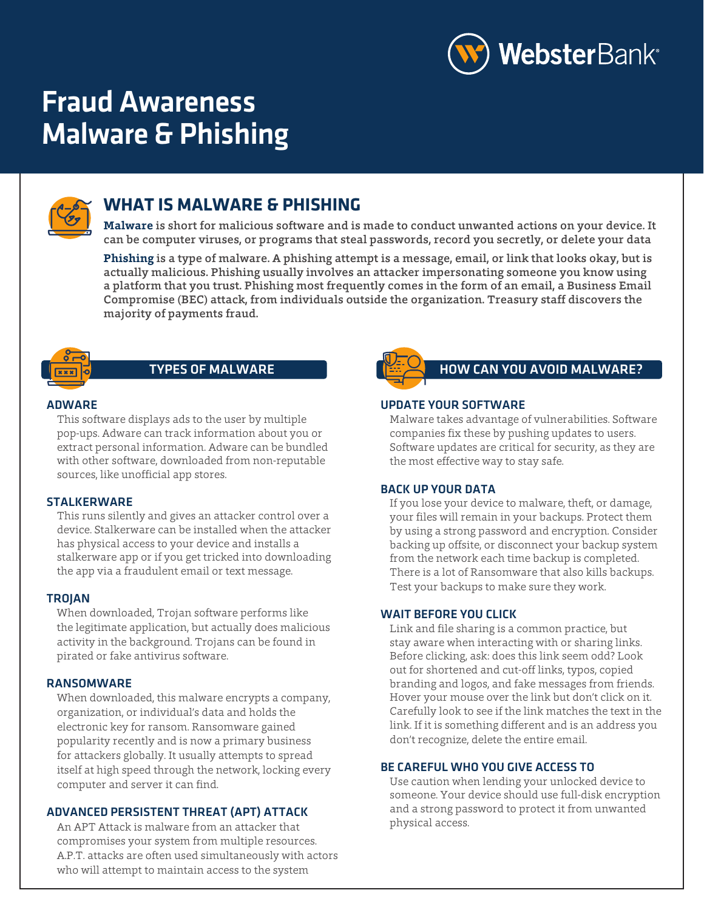

# Fraud Awareness Malware & Phishing



# **WHAT IS MALWARE & PHISHING**

**Malware** is short for malicious software and is made to conduct unwanted actions on your device. It can be computer viruses, or programs that steal passwords, record you secretly, or delete your data

**Phishing** is a type of malware. A phishing attempt is a message, email, or link that looks okay, but is actually malicious. Phishing usually involves an attacker impersonating someone you know using a platform that you trust. Phishing most frequently comes in the form of an email, a Business Email Compromise (BEC) attack, from individuals outside the organization. Treasury staff discovers the majority of payments fraud.



#### ADWARE

This software displays ads to the user by multiple pop-ups. Adware can track information about you or extract personal information. Adware can be bundled with other software, downloaded from non-reputable sources, like unofficial app stores.

#### STALKERWARE

This runs silently and gives an attacker control over a device. Stalkerware can be installed when the attacker has physical access to your device and installs a stalkerware app or if you get tricked into downloading the app via a fraudulent email or text message.

#### **TROJAN**

 When downloaded, Trojan software performs like the legitimate application, but actually does malicious activity in the background. Trojans can be found in pirated or fake antivirus software.

#### RANSOMWARE

When downloaded, this malware encrypts a company, organization, or individual's data and holds the electronic key for ransom. Ransomware gained popularity recently and is now a primary business for attackers globally. It usually attempts to spread itself at high speed through the network, locking every computer and server it can find.

#### ADVANCED PERSISTENT THREAT (APT) ATTACK

An APT Attack is malware from an attacker that compromises your system from multiple resources. A.P.T. attacks are often used simultaneously with actors who will attempt to maintain access to the system



#### TYPES OF MALWARE **HOW CAN YOU AVOID MALWARE?**

#### UPDATE YOUR SOFTWARE

 Malware takes advantage of vulnerabilities. Software companies fix these by pushing updates to users. Software updates are critical for security, as they are the most effective way to stay safe.

#### BACK UP YOUR DATA

 If you lose your device to malware, theft, or damage, your files will remain in your backups. Protect them by using a strong password and encryption. Consider backing up offsite, or disconnect your backup system from the network each time backup is completed. There is a lot of Ransomware that also kills backups. Test your backups to make sure they work.

#### WAIT BEFORE YOU CLICK

 Link and file sharing is a common practice, but stay aware when interacting with or sharing links. Before clicking, ask: does this link seem odd? Look out for shortened and cut-off links, typos, copied branding and logos, and fake messages from friends. Hover your mouse over the link but don't click on it. Carefully look to see if the link matches the text in the link. If it is something different and is an address you don't recognize, delete the entire email.

#### BE CAREFUL WHO YOU GIVE ACCESS TO

 Use caution when lending your unlocked device to someone. Your device should use full-disk encryption and a strong password to protect it from unwanted physical access.